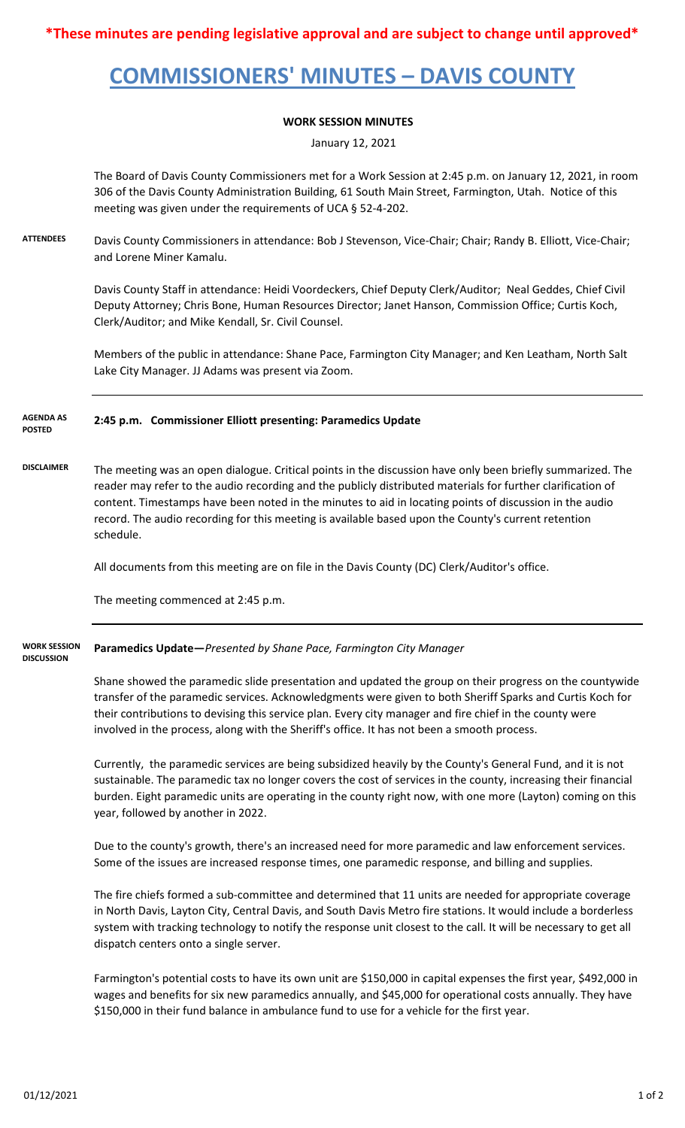**\*These minutes are pending legislative approval and are subject to change until approved\***

# **COMMISSIONERS' MINUTES – DAVIS COUNTY**

### **WORK SESSION MINUTES**

January 12, 2021

The Board of Davis County Commissioners met for a Work Session at 2:45 p.m. on January 12, 2021, in room 306 of the Davis County Administration Building, 61 South Main Street, Farmington, Utah. Notice of this meeting was given under the requirements of UCA § 52-4-202.

**ATTENDEES** Davis County Commissioners in attendance: Bob J Stevenson, Vice-Chair; Chair; Randy B. Elliott, Vice-Chair; and Lorene Miner Kamalu.

> Davis County Staff in attendance: Heidi Voordeckers, Chief Deputy Clerk/Auditor; Neal Geddes, Chief Civil Deputy Attorney; Chris Bone, Human Resources Director; Janet Hanson, Commission Office; Curtis Koch, Clerk/Auditor; and Mike Kendall, Sr. Civil Counsel.

> Members of the public in attendance: Shane Pace, Farmington City Manager; and Ken Leatham, North Salt Lake City Manager. JJ Adams was present via Zoom.

#### **2:45 p.m. Commissioner Elliott presenting: Paramedics Update AGENDA AS POSTED**

**DISCLAIMER** The meeting was an open dialogue. Critical points in the discussion have only been briefly summarized. The reader may refer to the audio recording and the publicly distributed materials for further clarification of content. Timestamps have been noted in the minutes to aid in locating points of discussion in the audio record. The audio recording for this meeting is available based upon the County's current retention schedule.

All documents from this meeting are on file in the Davis County (DC) Clerk/Auditor's office.

The meeting commenced at 2:45 p.m.

**Paramedics Update—***Presented by Shane Pace, Farmington City Manager* **WORK SESSION DISCUSSION**

Shane showed the paramedic slide presentation and updated the group on their progress on the countywide transfer of the paramedic services. Acknowledgments were given to both Sheriff Sparks and Curtis Koch for their contributions to devising this service plan. Every city manager and fire chief in the county were involved in the process, along with the Sheriff's office. It has not been a smooth process.

Currently, the paramedic services are being subsidized heavily by the County's General Fund, and it is not sustainable. The paramedic tax no longer covers the cost of services in the county, increasing their financial burden. Eight paramedic units are operating in the county right now, with one more (Layton) coming on this year, followed by another in 2022.

Due to the county's growth, there's an increased need for more paramedic and law enforcement services. Some of the issues are increased response times, one paramedic response, and billing and supplies.

The fire chiefs formed a sub-committee and determined that 11 units are needed for appropriate coverage in North Davis, Layton City, Central Davis, and South Davis Metro fire stations. It would include a borderless system with tracking technology to notify the response unit closest to the call. It will be necessary to get all dispatch centers onto a single server.

Farmington's potential costs to have its own unit are \$150,000 in capital expenses the first year, \$492,000 in wages and benefits for six new paramedics annually, and \$45,000 for operational costs annually. They have \$150,000 in their fund balance in ambulance fund to use for a vehicle for the first year.